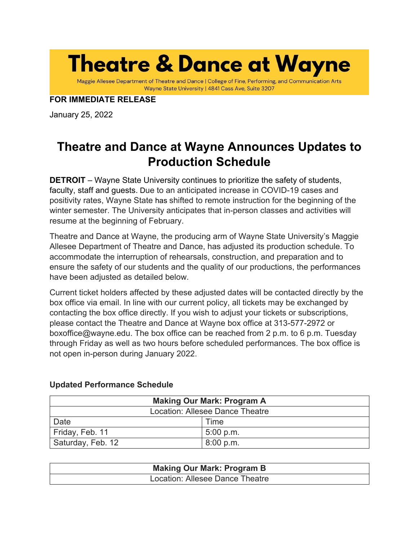**Theatre & Dance at Wayne** 

Maggie Allesee Department of Theatre and Dance | College of Fine, Performing, and Communication Arts Wayne State University | 4841 Cass Ave, Suite 3207

# **FOR IMMEDIATE RELEASE**

January 25, 2022

# **Theatre and Dance at Wayne Announces Updates to Production Schedule**

**DETROIT** – Wayne State University continues to prioritize the safety of students, faculty, staff and guests. Due to an anticipated increase in COVID-19 cases and positivity rates, Wayne State has shifted to remote instruction for the beginning of the winter semester. The University anticipates that in-person classes and activities will resume at the beginning of February.

Theatre and Dance at Wayne, the producing arm of Wayne State University's Maggie Allesee Department of Theatre and Dance, has adjusted its production schedule. To accommodate the interruption of rehearsals, construction, and preparation and to ensure the safety of our students and the quality of our productions, the performances have been adjusted as detailed below.

Current ticket holders affected by these adjusted dates will be contacted directly by the box office via email. In line with our current policy, all tickets may be exchanged by contacting the box office directly. If you wish to adjust your tickets or subscriptions, please contact the Theatre and Dance at Wayne box office at 313-577-2972 or boxoffice@wayne.edu. The box office can be reached from 2 p.m. to 6 p.m. Tuesday through Friday as well as two hours before scheduled performances. The box office is not open in-person during January 2022.

| <b>Making Our Mark: Program A</b> |           |  |
|-----------------------------------|-----------|--|
| Location: Allesee Dance Theatre   |           |  |
| Date                              | Time      |  |
| Friday, Feb. 11                   | 5:00 p.m. |  |
| Saturday, Feb. 12                 | 8:00 p.m. |  |

# **Updated Performance Schedule**

| <b>Making Our Mark: Program B</b> |  |
|-----------------------------------|--|
| Location: Allesee Dance Theatre   |  |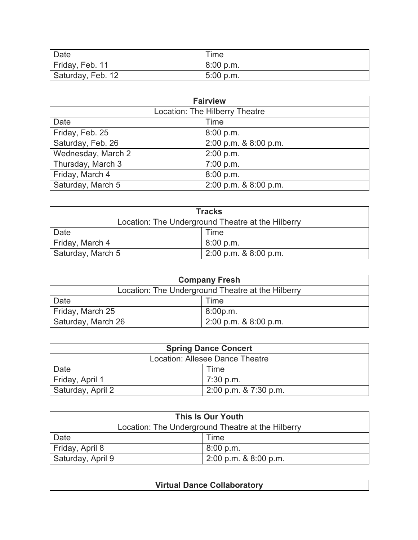| Date              | Time      |
|-------------------|-----------|
| Friday, Feb. 11   | 8:00 p.m. |
| Saturday, Feb. 12 | 5:00 p.m. |

| <b>Fairview</b>                |                       |  |
|--------------------------------|-----------------------|--|
| Location: The Hilberry Theatre |                       |  |
| Date                           | Time                  |  |
| Friday, Feb. 25                | 8:00 p.m.             |  |
| Saturday, Feb. 26              | 2:00 p.m. & 8:00 p.m. |  |
| Wednesday, March 2             | 2:00 p.m.             |  |
| Thursday, March 3              | 7:00 p.m.             |  |
| Friday, March 4                | 8:00 p.m.             |  |
| Saturday, March 5              | 2:00 p.m. & 8:00 p.m. |  |

| <b>Tracks</b>                                     |                           |  |
|---------------------------------------------------|---------------------------|--|
| Location: The Underground Theatre at the Hilberry |                           |  |
| Date                                              | Time                      |  |
| Friday, March 4                                   | 8:00 p.m.                 |  |
| Saturday, March 5                                 | $2:00$ p.m. & $8:00$ p.m. |  |

| <b>Company Fresh</b>                              |                           |
|---------------------------------------------------|---------------------------|
| Location: The Underground Theatre at the Hilberry |                           |
| Date                                              | Time                      |
| Friday, March 25                                  | 8:00p.m.                  |
| Saturday, March 26                                | $2:00$ p.m. & $8:00$ p.m. |

| <b>Spring Dance Concert</b>     |                           |  |
|---------------------------------|---------------------------|--|
| Location: Allesee Dance Theatre |                           |  |
| Date                            | Time                      |  |
| Friday, April 1                 | $\sqrt{7:30}$ p.m.        |  |
| Saturday, April 2               | $2:00$ p.m. & $7:30$ p.m. |  |

| This Is Our Youth                                 |                           |
|---------------------------------------------------|---------------------------|
| Location: The Underground Theatre at the Hilberry |                           |
| Date                                              | Time                      |
| Friday, April 8                                   | 8:00 p.m.                 |
| Saturday, April 9                                 | $2:00$ p.m. & $8:00$ p.m. |

| <b>Virtual Dance Collaboratory</b> |
|------------------------------------|
|                                    |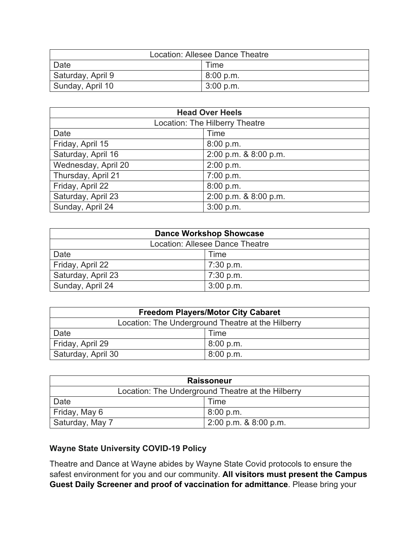| Location: Allesee Dance Theatre |             |  |
|---------------------------------|-------------|--|
| Date                            | Time        |  |
| Saturday, April 9               | 8:00 p.m.   |  |
| Sunday, April 10                | $3:00$ p.m. |  |

| <b>Head Over Heels</b>         |                       |
|--------------------------------|-----------------------|
| Location: The Hilberry Theatre |                       |
| Date                           | Time                  |
| Friday, April 15               | 8:00 p.m.             |
| Saturday, April 16             | 2:00 p.m. & 8:00 p.m. |
| Wednesday, April 20            | 2:00 p.m.             |
| Thursday, April 21             | 7:00 p.m.             |
| Friday, April 22               | 8:00 p.m.             |
| Saturday, April 23             | 2:00 p.m. & 8:00 p.m. |
| Sunday, April 24               | 3:00 p.m.             |

| <b>Dance Workshop Showcase</b>  |             |  |
|---------------------------------|-------------|--|
| Location: Allesee Dance Theatre |             |  |
| Date                            | Time        |  |
| Friday, April 22                | $7:30$ p.m. |  |
| Saturday, April 23              | $7:30$ p.m. |  |
| Sunday, April 24                | 3:00 p.m.   |  |

| <b>Freedom Players/Motor City Cabaret</b>         |             |  |
|---------------------------------------------------|-------------|--|
| Location: The Underground Theatre at the Hilberry |             |  |
| Date                                              | Time        |  |
| Friday, April 29                                  | $8:00$ p.m. |  |
| Saturday, April 30                                | 8:00 p.m.   |  |

| <b>Raissoneur</b>                                 |                           |  |
|---------------------------------------------------|---------------------------|--|
| Location: The Underground Theatre at the Hilberry |                           |  |
| Date                                              | Time                      |  |
| Friday, May 6                                     | 8:00 p.m.                 |  |
| Saturday, May 7                                   | $2:00$ p.m. & $8:00$ p.m. |  |

# **Wayne State University COVID-19 Policy**

Theatre and Dance at Wayne abides by Wayne State Covid protocols to ensure the safest environment for you and our community. **All visitors must present the Campus Guest Daily Screener and proof of vaccination for admittance**. Please bring your